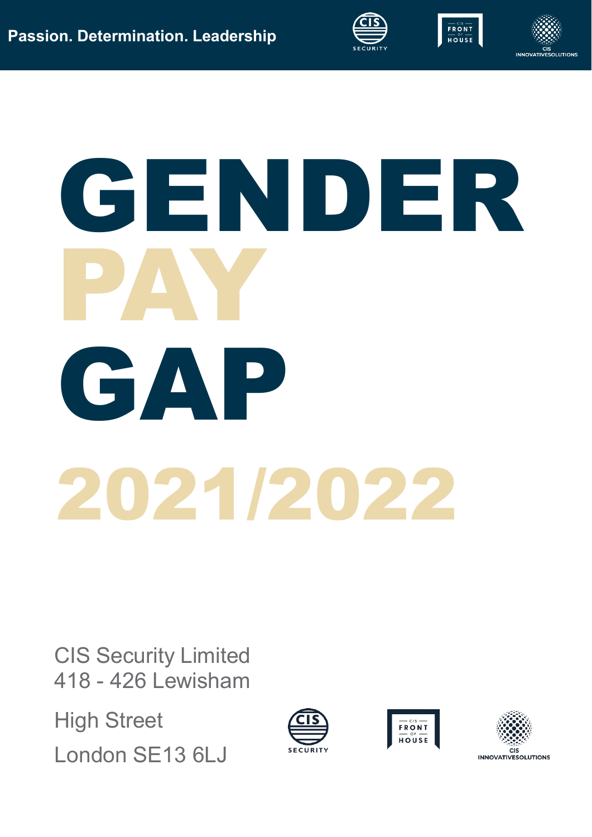



# GENDER PAY GAP 2021/2022

CIS Security Limited 418 - 426 Lewisham

High Street London SE13 6LJ





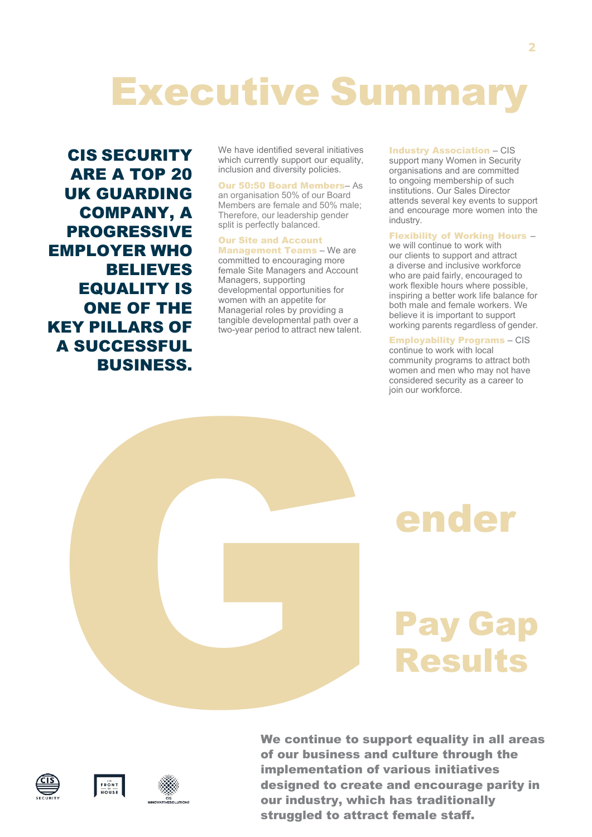## Executive Summary

CIS SECURITY ARE A TOP 20 UK GUARDING COMPANY, A PROGRESSIVE EMPLOYER WHO BELIEVES EQUALITY IS ONE OF THE KEY PILLARS OF A SUCCESSFUL BUSINESS.

We have identified several initiatives which currently support our equality, inclusion and diversity policies.

Our 50:50 Board Members– As an organisation 50% of our Board Members are female and 50% male; Therefore, our leadership gender split is perfectly balanced.

#### Our Site and Account

Management Teams – We are committed to encouraging more female Site Managers and Account Managers, supporting developmental opportunities for women with an appetite for Managerial roles by providing a tangible developmental path over a two-year period to attract new talent.

#### Industry Association – CIS

support many Women in Security organisations and are committed to ongoing membership of such institutions. Our Sales Director attends several key events to support and encourage more women into the industry.

#### Flexibility of Working Hours –

we will continue to work with our clients to support and attract a diverse and inclusive workforce who are paid fairly, encouraged to work flexible hours where possible, inspiring a better work life balance for both male and female workers. We believe it is important to support working parents regardless of gender.

#### Employability Programs – CIS

continue to work with local community programs to attract both women and men who may not have considered security as a career to join our workforce.

## ender

## Pay Gap Results



We continue to support equality in all areas of our business and culture through the implementation of various initiatives designed to create and encourage parity in our industry, which has traditionally  $\begin{array}{c} \text{We continue to sup}\ \Theta \text{ for all } \Theta \text{ for all } \Theta \text{ for all } \Theta \text{ for all } \Theta \text{ for all } \Theta \text{ for all } \Theta \text{ for all } \Theta \text{ for all } \Theta \text{ for all } \Theta \text{ for all } \Theta \text{ for all } \Theta \text{ for all } \Theta \text{ for all } \Theta \text{ for all } \Theta \text{ for all } \Theta \text{ for all } \Theta \text{ for all } \Theta \text{ for all } \Theta \text{ for all } \Theta \text{ for all } \Theta \text{ for all } \Theta \text{ for all } \Theta \text{ for all } \Theta \text{ for all } \Theta \text{ for all } \Theta \text{$ struggled to attract female staff.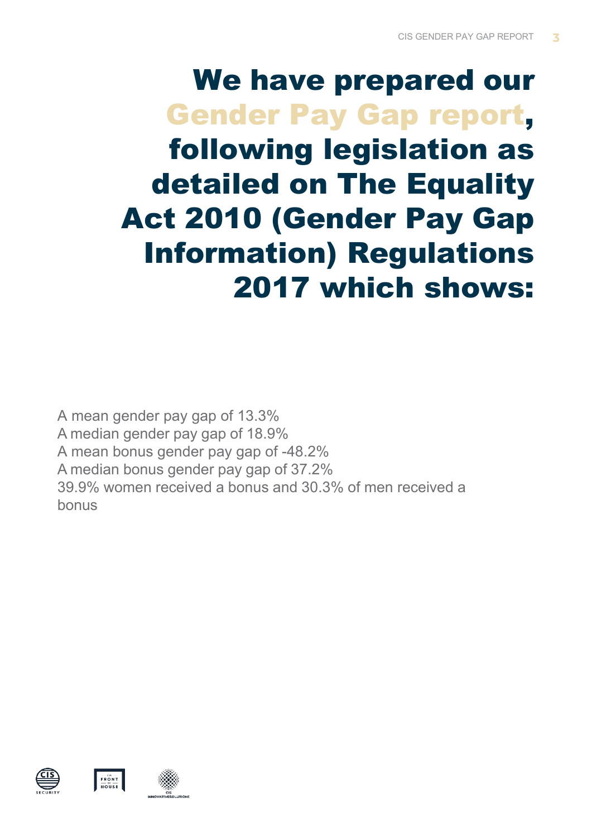## We have prepared our Gender Pay Gap report, following legislation as detailed on The Equality Act 2010 (Gender Pay Gap Information) Regulations 2017 which shows:

A mean gender pay gap of 13.3% A median gender pay gap of 18.9% A mean bonus gender pay gap of -48.2% A median bonus gender pay gap of 37.2% 39.9% women received a bonus and 30.3% of men received a bonus





 $F R$  ONT